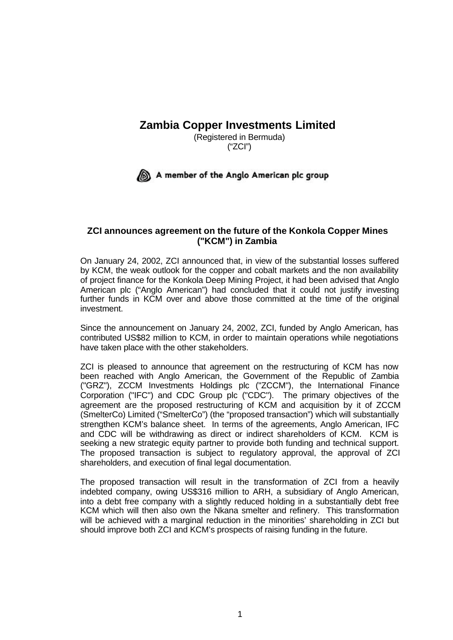## **Zambia Copper Investments Limited**

(Registered in Bermuda) ("ZCI")

## A member of the Anglo American plc group

## **ZCI announces agreement on the future of the Konkola Copper Mines ("KCM") in Zambia**

On January 24, 2002, ZCI announced that, in view of the substantial losses suffered by KCM, the weak outlook for the copper and cobalt markets and the non availability of project finance for the Konkola Deep Mining Project, it had been advised that Anglo American plc ("Anglo American") had concluded that it could not justify investing further funds in KCM over and above those committed at the time of the original investment.

Since the announcement on January 24, 2002, ZCI, funded by Anglo American, has contributed US\$82 million to KCM, in order to maintain operations while negotiations have taken place with the other stakeholders.

ZCI is pleased to announce that agreement on the restructuring of KCM has now been reached with Anglo American, the Government of the Republic of Zambia ("GRZ"), ZCCM Investments Holdings plc ("ZCCM"), the International Finance Corporation ("IFC") and CDC Group plc ("CDC"). The primary objectives of the agreement are the proposed restructuring of KCM and acquisition by it of ZCCM (SmelterCo) Limited ("SmelterCo") (the "proposed transaction") which will substantially strengthen KCM's balance sheet. In terms of the agreements, Anglo American, IFC and CDC will be withdrawing as direct or indirect shareholders of KCM. KCM is seeking a new strategic equity partner to provide both funding and technical support. The proposed transaction is subject to regulatory approval, the approval of ZCI shareholders, and execution of final legal documentation.

The proposed transaction will result in the transformation of ZCI from a heavily indebted company, owing US\$316 million to ARH, a subsidiary of Anglo American, into a debt free company with a slightly reduced holding in a substantially debt free KCM which will then also own the Nkana smelter and refinery. This transformation will be achieved with a marginal reduction in the minorities' shareholding in ZCI but should improve both ZCI and KCM's prospects of raising funding in the future.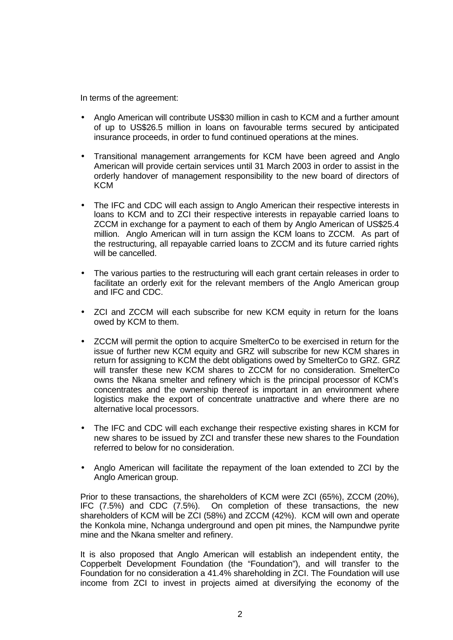In terms of the agreement:

- Anglo American will contribute US\$30 million in cash to KCM and a further amount of up to US\$26.5 million in loans on favourable terms secured by anticipated insurance proceeds, in order to fund continued operations at the mines.
- Transitional management arrangements for KCM have been agreed and Anglo American will provide certain services until 31 March 2003 in order to assist in the orderly handover of management responsibility to the new board of directors of **KCM**
- The IFC and CDC will each assign to Anglo American their respective interests in loans to KCM and to ZCI their respective interests in repayable carried loans to ZCCM in exchange for a payment to each of them by Anglo American of US\$25.4 million. Anglo American will in turn assign the KCM loans to ZCCM. As part of the restructuring, all repayable carried loans to ZCCM and its future carried rights will be cancelled.
- The various parties to the restructuring will each grant certain releases in order to facilitate an orderly exit for the relevant members of the Anglo American group and IFC and CDC.
- ZCI and ZCCM will each subscribe for new KCM equity in return for the loans owed by KCM to them.
- ZCCM will permit the option to acquire SmelterCo to be exercised in return for the issue of further new KCM equity and GRZ will subscribe for new KCM shares in return for assigning to KCM the debt obligations owed by SmelterCo to GRZ. GRZ will transfer these new KCM shares to ZCCM for no consideration. SmelterCo owns the Nkana smelter and refinery which is the principal processor of KCM's concentrates and the ownership thereof is important in an environment where logistics make the export of concentrate unattractive and where there are no alternative local processors.
- The IFC and CDC will each exchange their respective existing shares in KCM for new shares to be issued by ZCI and transfer these new shares to the Foundation referred to below for no consideration.
- Anglo American will facilitate the repayment of the loan extended to ZCI by the Anglo American group.

Prior to these transactions, the shareholders of KCM were ZCI (65%), ZCCM (20%), IFC (7.5%) and CDC (7.5%). On completion of these transactions, the new shareholders of KCM will be ZCI (58%) and ZCCM (42%). KCM will own and operate the Konkola mine, Nchanga underground and open pit mines, the Nampundwe pyrite mine and the Nkana smelter and refinery.

It is also proposed that Anglo American will establish an independent entity, the Copperbelt Development Foundation (the "Foundation"), and will transfer to the Foundation for no consideration a 41.4% shareholding in ZCI. The Foundation will use income from ZCI to invest in projects aimed at diversifying the economy of the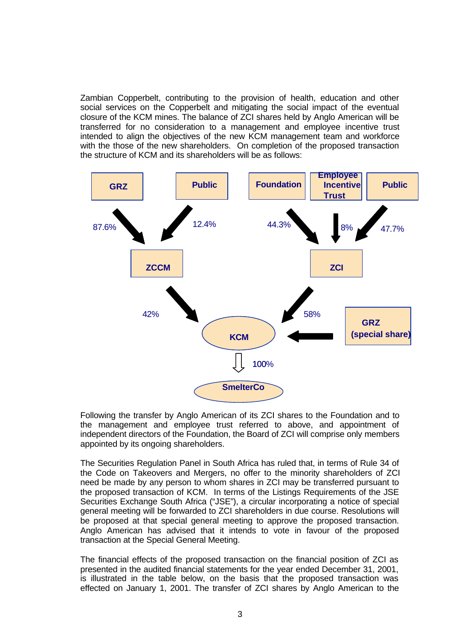Zambian Copperbelt, contributing to the provision of health, education and other social services on the Copperbelt and mitigating the social impact of the eventual closure of the KCM mines. The balance of ZCI shares held by Anglo American will be transferred for no consideration to a management and employee incentive trust intended to align the objectives of the new KCM management team and workforce with the those of the new shareholders. On completion of the proposed transaction the structure of KCM and its shareholders will be as follows:



Following the transfer by Anglo American of its ZCI shares to the Foundation and to the management and employee trust referred to above, and appointment of independent directors of the Foundation, the Board of ZCI will comprise only members appointed by its ongoing shareholders.

The Securities Regulation Panel in South Africa has ruled that, in terms of Rule 34 of the Code on Takeovers and Mergers, no offer to the minority shareholders of ZCI need be made by any person to whom shares in ZCI may be transferred pursuant to the proposed transaction of KCM. In terms of the Listings Requirements of the JSE Securities Exchange South Africa ("JSE"), a circular incorporating a notice of special general meeting will be forwarded to ZCI shareholders in due course. Resolutions will be proposed at that special general meeting to approve the proposed transaction. Anglo American has advised that it intends to vote in favour of the proposed transaction at the Special General Meeting.

The financial effects of the proposed transaction on the financial position of ZCI as presented in the audited financial statements for the year ended December 31, 2001, is illustrated in the table below, on the basis that the proposed transaction was effected on January 1, 2001. The transfer of ZCI shares by Anglo American to the